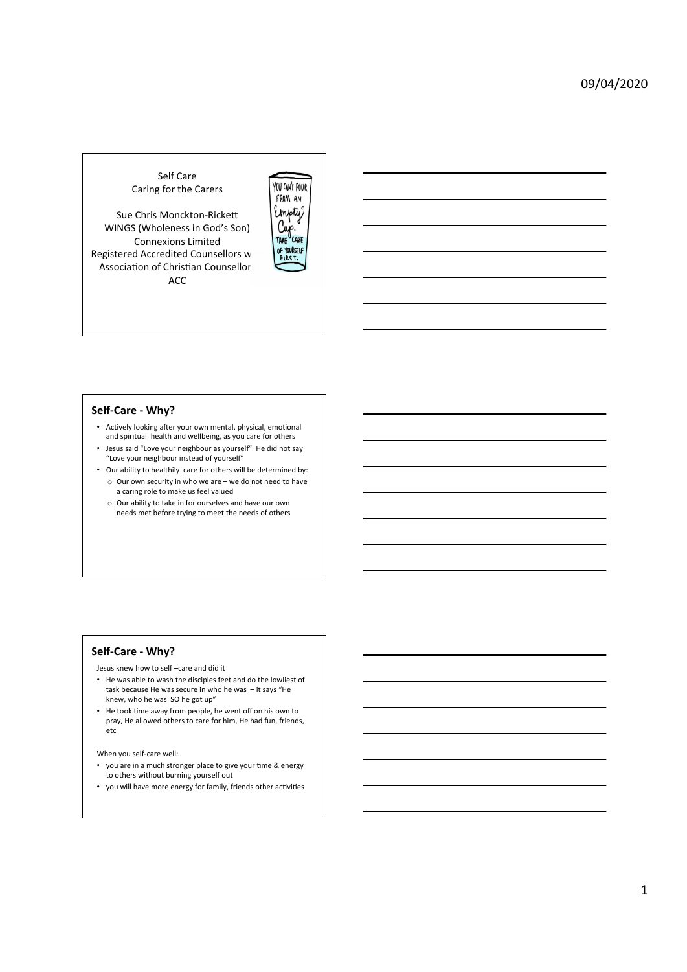# Self Care Caring for the Carers

Sue Chris Monckton-Rickett WINGS (Wholeness in God's Son) Connexions Limited Registered Accredited Counsellors w Association of Christian Counsellor ACC 



### Self-Care - Why?

- Actively looking after your own mental, physical, emotional and spiritual health and wellbeing, as you care for others
- Jesus said "Love your neighbour as yourself" He did not say "Love your neighbour instead of yourself"
- Our ability to healthily care for others will be determined by:  $\circ$  Our own security in who we are – we do not need to have a caring role to make us feel valued
	- o Our ability to take in for ourselves and have our own needs met before trying to meet the needs of others

## Self-Care - Why?

Jesus knew how to self -care and did it

- He was able to wash the disciples feet and do the lowliest of task because He was secure in who he was  $-$  it says "He knew, who he was SO he got up"
- He took time away from people, he went off on his own to pray, He allowed others to care for him, He had fun, friends, etc

When you self-care well:

- you are in a much stronger place to give your time & energy to others without burning yourself out
- you will have more energy for family, friends other activities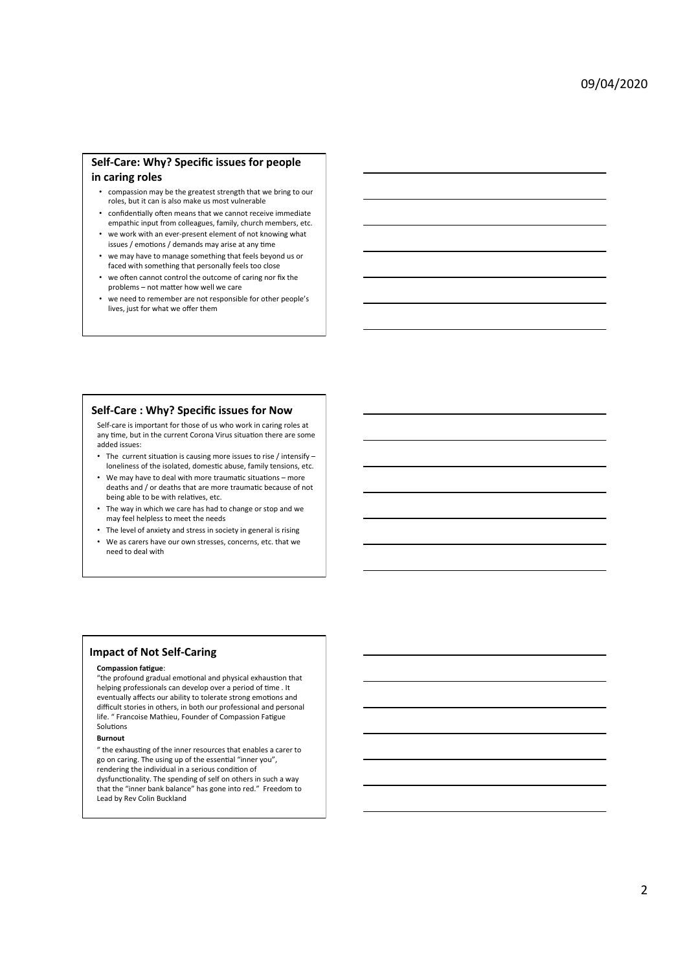# Self-Care: Why? Specific issues for people in caring roles

- compassion may be the greatest strength that we bring to our roles, but it can is also make us most vulnerable
- confidentially often means that we cannot receive immediate empathic input from colleagues, family, church members, etc.
- we work with an ever-present element of not knowing what issues / emotions / demands may arise at any time
- we may have to manage something that feels beyond us or faced with something that personally feels too close
- we often cannot control the outcome of caring nor fix the problems - not matter how well we care
- we need to remember are not responsible for other people's lives, just for what we offer them

## **Self-Care : Why? Specific issues for Now**

Self-care is important for those of us who work in caring roles at any time, but in the current Corona Virus situation there are some added issues:

- The current situation is causing more issues to rise / intensify loneliness of the isolated, domestic abuse, family tensions, etc.
- We may have to deal with more traumatic situations more deaths and / or deaths that are more traumatic because of not being able to be with relatives, etc.
- The way in which we care has had to change or stop and we may feel helpless to meet the needs
- The level of anxiety and stress in society in general is rising
- We as carers have our own stresses, concerns, etc. that we need to deal with

## **Impact of Not Self-Caring**

#### **Compassion fatigue:**

"the profound gradual emotional and physical exhaustion that helping professionals can develop over a period of time . It eventually affects our ability to tolerate strong emotions and difficult stories in others, in both our professional and personal Iffe. " Francoise Mathieu, Founder of Compassion Fatigue Solutions

#### **Burnout**

 $"$  the exhausting of the inner resources that enables a carer to go on caring. The using up of the essential "inner you", rendering the individual in a serious condition of dysfunctionality. The spending of self on others in such a way that the "inner bank balance" has gone into red." Freedom to Lead by Rev Colin Buckland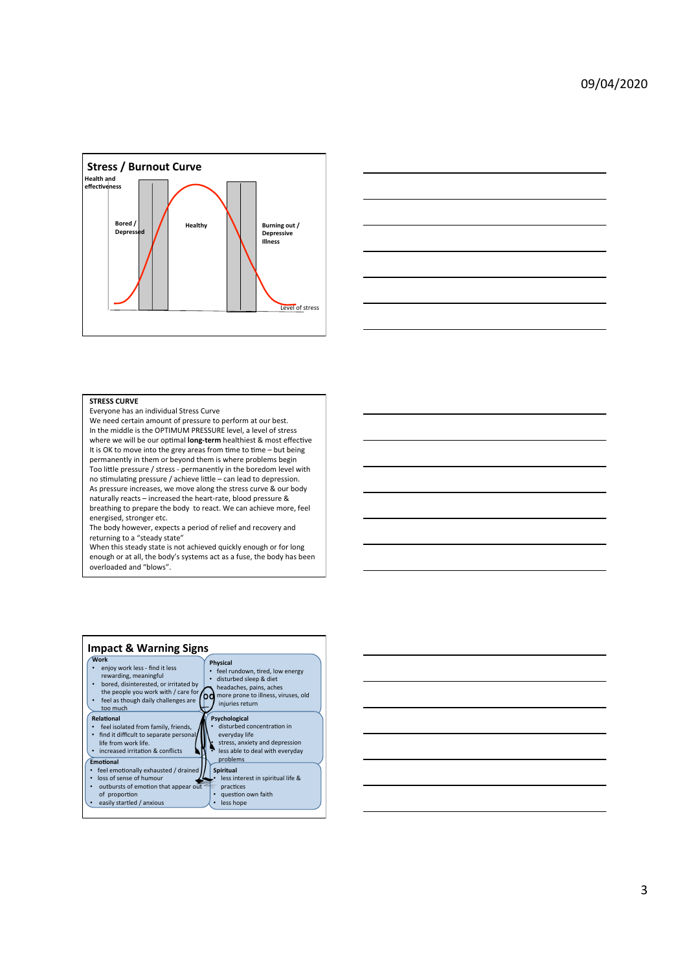



#### **STRESS CURVE**

Everyone has an individual Stress Curve

We need certain amount of pressure to perform at our best. In the middle is the OPTIMUM PRESSURE level, a level of stress where we will be our optimal **long-term** healthiest & most effective It is OK to move into the grey areas from time to time – but being permanently in them or beyond them is where problems begin Too little pressure / stress - permanently in the boredom level with no stimulating pressure / achieve little – can lead to depression. As pressure increases, we move along the stress curve & our body naturally reacts – increased the heart-rate, blood pressure & breathing to prepare the body to react. We can achieve more, feel energised, stronger etc.

The body however, expects a period of relief and recovery and returning to a "steady state"

When this steady state is not achieved quickly enough or for long enough or at all, the body's systems act as a fuse, the body has been overloaded and "blows".



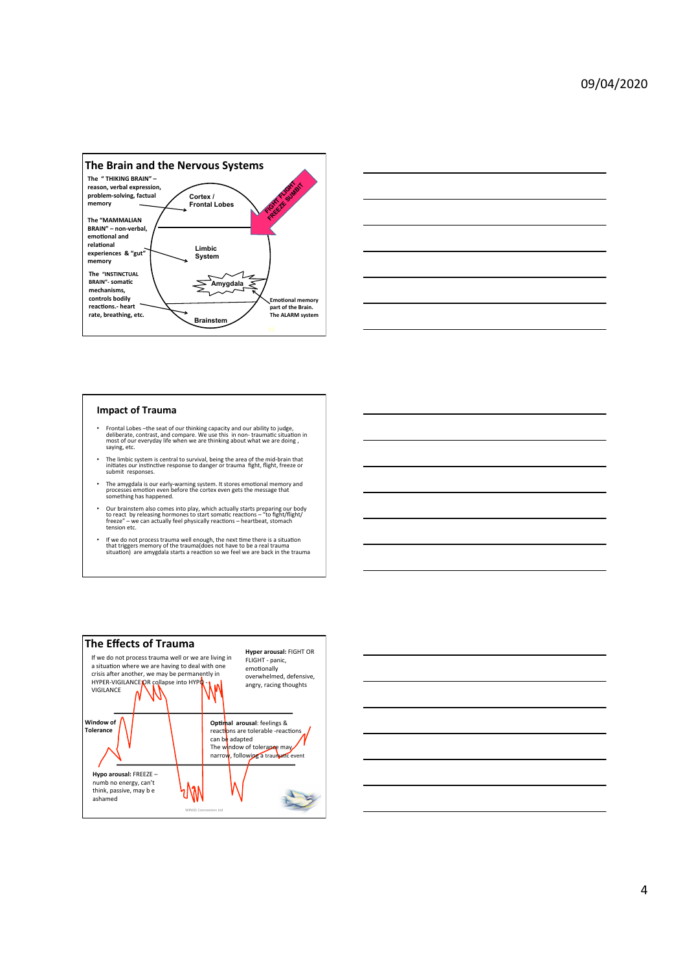



### **Impact of Trauma**

- Frontal Lobes the seat of our thinking capacity and our ability to judge,<br>deliberate, contrast, and compare. We use this in non- traumatic situation in<br>most of our everyday life when we are thinking about what we are d
- The limbic system is central to survival, being the area of the mid-brain that<br>initiates our instinctive response to danger or trauma fight, flight, freeze or muates our misune
- The amygdala is our early-warning system. It stores emotional memory and<br>processes emotion even before the cortex even gets the message that<br>something has happened.
- Our brainstem also comes into play, which actually starts preparing our body<br>to react by releasing hormones to start somatic reactions "to fight/flight/<br>freeze" we can actually feel physically reactions heartbeat,
- If we do not process trauma well enough, the next time there is a situation<br>that triggers memory of the trauma(does not have to be a real trauma<br>situation) are amygdala starts a reaction so we feel we are back in the tra



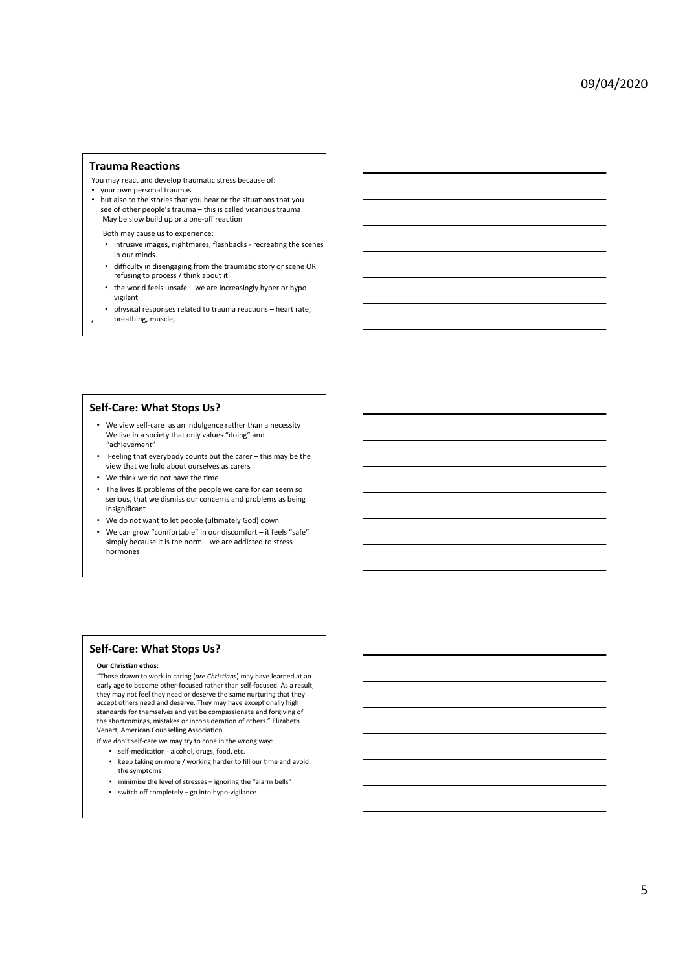### **Trauma Reactions**

- You may react and develop traumatic stress because of:
- your own personal traumas
- but also to the stories that you hear or the situations that you see of other people's trauma - this is called vicarious trauma May be slow build up or a one-off reaction

Both may cause us to experience:

- intrusive images, nightmares, flashbacks recreating the scenes in our minds.
- difficulty in disengaging from the traumatic story or scene OR refusing to process / think about it
- the world feels unsafe we are increasingly hyper or hypo vigilant
- **,**  physical responses related to trauma reactions - heart rate, breathing, muscle,

### **Self-Care: What Stops Us?**

- We view self-care as an indulgence rather than a necessity We live in a society that only values "doing" and "achievement"
- Feeling that everybody counts but the carer this may be the view that we hold about ourselves as carers
- We think we do not have the time
- The lives & problems of the people we care for can seem so serious, that we dismiss our concerns and problems as being insignificant
- We do not want to let people (ultimately God) down
- We can grow "comfortable" in our discomfort it feels "safe" simply because it is the norm – we are addicted to stress hormones

# **Self-Care: What Stops Us?**

#### **Our Christian ethos:**

"Those drawn to work in caring (are Christians) may have learned at an early age to become other-focused rather than self-focused. As a result, they may not feel they need or deserve the same nurturing that they accept others need and deserve. They may have exceptionally high standards for themselves and yet be compassionate and forgiving of the shortcomings, mistakes or inconsideration of others." Elizabeth Venart, American Counselling Association

If we don't self-care we may try to cope in the wrong way:

- self-medication alcohol, drugs, food, etc.
- keep taking on more / working harder to fill our time and avoid the symptoms
- minimise the level of stresses ignoring the "alarm bells"
- $\bullet$  switch off completely go into hypo-vigilance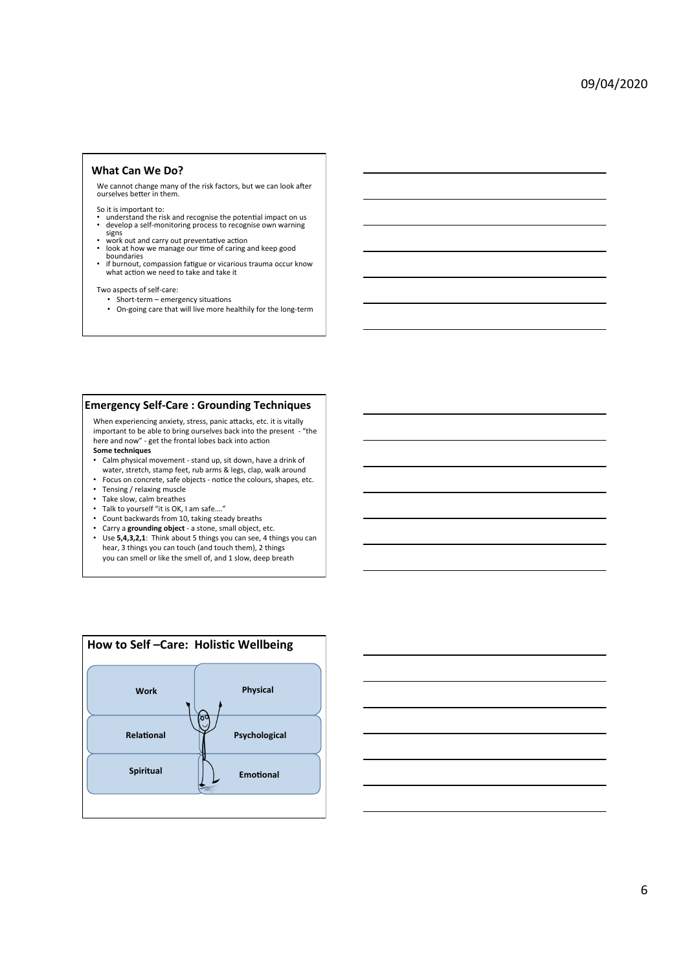### **What Can We Do?**

We cannot change many of the risk factors, but we can look after ourselves better in them.

- So it is important to:<br>• understand the risk and recognise the potential impact on us<br>• develop a self-monitoring process to recognise own warning
- 
- develop a self-monitoring process to recognise own warning<br>
 work out and carry out preventative action<br>
 look at how we manage our time of caring and keep good<br>
boundaries
- 
- boundaries<br>• if burnout, compassion fatigue or vicarious trauma occur know<br>what action we need to take and take it

Two aspects of self-care:

- Short-term emergency situations
- On-going care that will live more healthily for the long-term

## **Emergency Self-Care : Grounding Techniques**

When experiencing anxiety, stress, panic attacks, etc. it is vitally important to be able to bring ourselves back into the present - "the here and now" - get the frontal lobes back into action Some techniques

- 
- Calm physical movement stand up, sit down, have a drink of water, stretch, stamp feet, rub arms & legs, clap, walk around • Focus on concrete, safe objects - notice the colours, shapes, etc.
- Tensing / relaxing muscle
- Take slow, calm breathes
- Talk to yourself "it is OK, I am safe...."
- 
- Count backwards from 10, taking steady breaths
- Carry a grounding object a stone, small object, etc.
- Use 5,4,3,2,1: Think about 5 things you can see, 4 things you can hear, 3 things you can touch (and touch them), 2 things you can smell or like the smell of, and 1 slow, deep breath



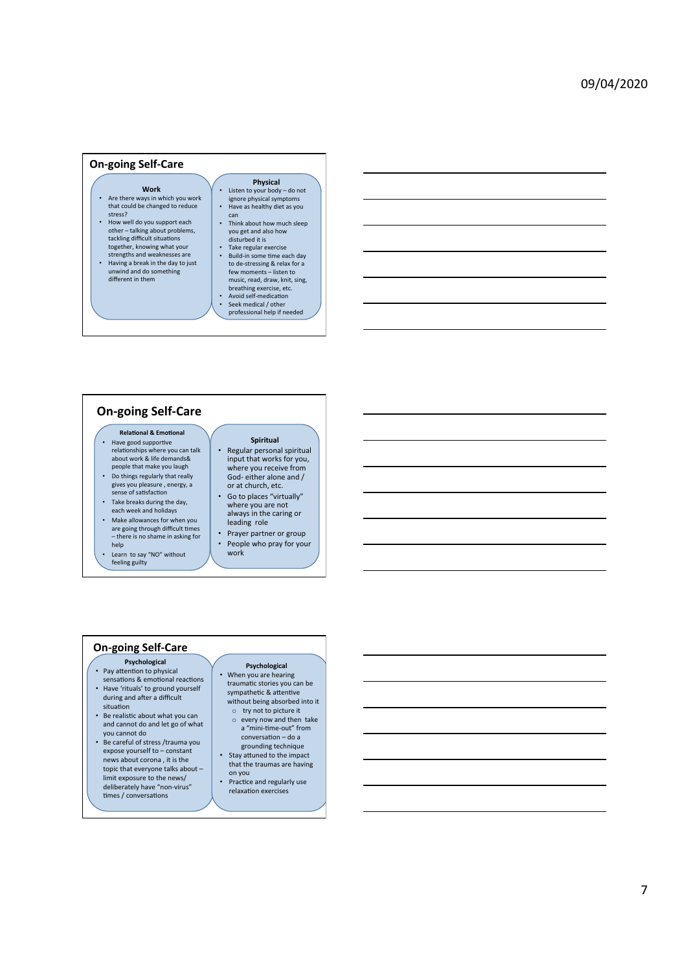### **On-going Self-Care**

#### **Work**

- Are there ways in which you work that could be changed to reduce stress?
- How well do you support each other talking about problems, tackling difficult situations together, knowing what your
- strengths and weaknesses are<br>• Having a break in the day to just unwind and do something<br>different in them

## **Physical**

- Listen to your body do not ignore physical symptoms • Have as healthy diet as you
- can • Think about how much sleep
- you get and also how<br>disturbed it is
- Take regular exercise<br>• Build-in some time each day to de-stressing & relax for a few moments – listen to music, read, draw, knit, sing, breathing exercise, etc.<br>• Avoid self-medication<br>• Seek medical / other
- professional help if needed

# **On-going Self-Care**

- **Relational & Emotional** • Have good supportive<br>relationships where you can talk about work & life demands&
- people that make you laugh • Do things regularly that really
- gives you pleasure, energy, a sense of satisfaction • Take breaks during the day,
- each week and holidays
- Make allowances for when you<br>are going through difficult times – there is no shame in asking for help
- Learn to say "NO" without feeling guilty

### • Regular personal spiritual input that works for you, where you receive from<br>God- either alone and / or at church, etc.

**Spiritual** 

- Go to places "virtually" where you are not always in the caring or leading role
- Prayer partner or group • People who pray for your work

### **On-going Self-Care**

- **Psychological**<br>• Pay attention to physical
- sensations & emotional reactions • Have 'rituals' to ground yourself
- during and after a difficult situation • Be realistic about what you can
- and cannot do and let go of what you cannot do • Be careful of stress /trauma you
- expose yourself to constant news about corona, it is the topic that everyone talks about limit exposure to the news/ deliberately have "non-virus" times / conversations

## **Psychological**<br>• When you are bearing • When you are hearing<br>traumatic stories you can be sympathetic & attentive

- without being absorbed into it o try not to picture it
- every now and then take a "mini-time-out" from conversation - do a
- grounding technique • Stay attuned to the impact that the traumas are having
- on you
- Practice and regularly use relaxation exercises